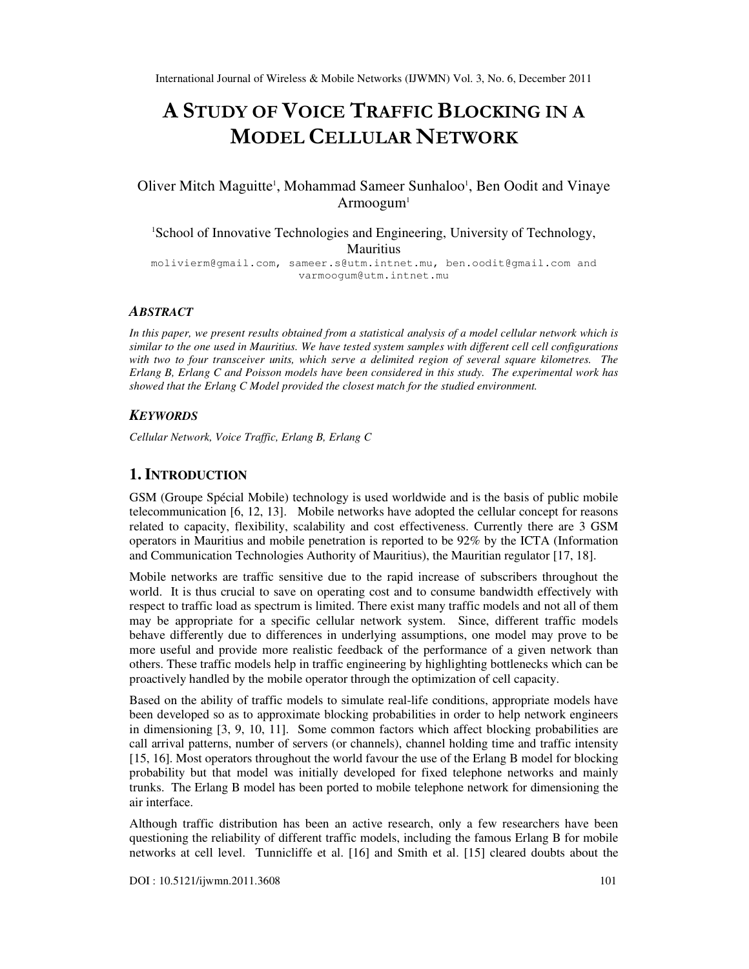# A STUDY OF VOICE TRAFFIC BLOCKING IN A MODEL CELLULAR NETWORK

# Oliver Mitch Maguitte<sup>1</sup>, Mohammad Sameer Sunhaloo<sup>1</sup>, Ben Oodit and Vinaye Armoogum<sup>1</sup>

<sup>1</sup>School of Innovative Technologies and Engineering, University of Technology, **Mauritius** 

molivierm@gmail.com, sameer.s@utm.intnet.mu, ben.oodit@gmail.com and varmoogum@utm.intnet.mu

#### *ABSTRACT*

*In this paper, we present results obtained from a statistical analysis of a model cellular network which is similar to the one used in Mauritius. We have tested system samples with different cell cell configurations with two to four transceiver units, which serve a delimited region of several square kilometres. The Erlang B, Erlang C and Poisson models have been considered in this study. The experimental work has showed that the Erlang C Model provided the closest match for the studied environment.* 

#### *KEYWORDS*

*Cellular Network, Voice Traffic, Erlang B, Erlang C* 

## **1. INTRODUCTION**

GSM (Groupe Spécial Mobile) technology is used worldwide and is the basis of public mobile telecommunication [6, 12, 13]. Mobile networks have adopted the cellular concept for reasons related to capacity, flexibility, scalability and cost effectiveness. Currently there are 3 GSM operators in Mauritius and mobile penetration is reported to be 92% by the ICTA (Information and Communication Technologies Authority of Mauritius), the Mauritian regulator [17, 18].

Mobile networks are traffic sensitive due to the rapid increase of subscribers throughout the world. It is thus crucial to save on operating cost and to consume bandwidth effectively with respect to traffic load as spectrum is limited. There exist many traffic models and not all of them may be appropriate for a specific cellular network system. Since, different traffic models behave differently due to differences in underlying assumptions, one model may prove to be more useful and provide more realistic feedback of the performance of a given network than others. These traffic models help in traffic engineering by highlighting bottlenecks which can be proactively handled by the mobile operator through the optimization of cell capacity.

Based on the ability of traffic models to simulate real-life conditions, appropriate models have been developed so as to approximate blocking probabilities in order to help network engineers in dimensioning [3, 9, 10, 11]. Some common factors which affect blocking probabilities are call arrival patterns, number of servers (or channels), channel holding time and traffic intensity [15, 16]. Most operators throughout the world favour the use of the Erlang B model for blocking probability but that model was initially developed for fixed telephone networks and mainly trunks. The Erlang B model has been ported to mobile telephone network for dimensioning the air interface.

Although traffic distribution has been an active research, only a few researchers have been questioning the reliability of different traffic models, including the famous Erlang B for mobile networks at cell level. Tunnicliffe et al. [16] and Smith et al. [15] cleared doubts about the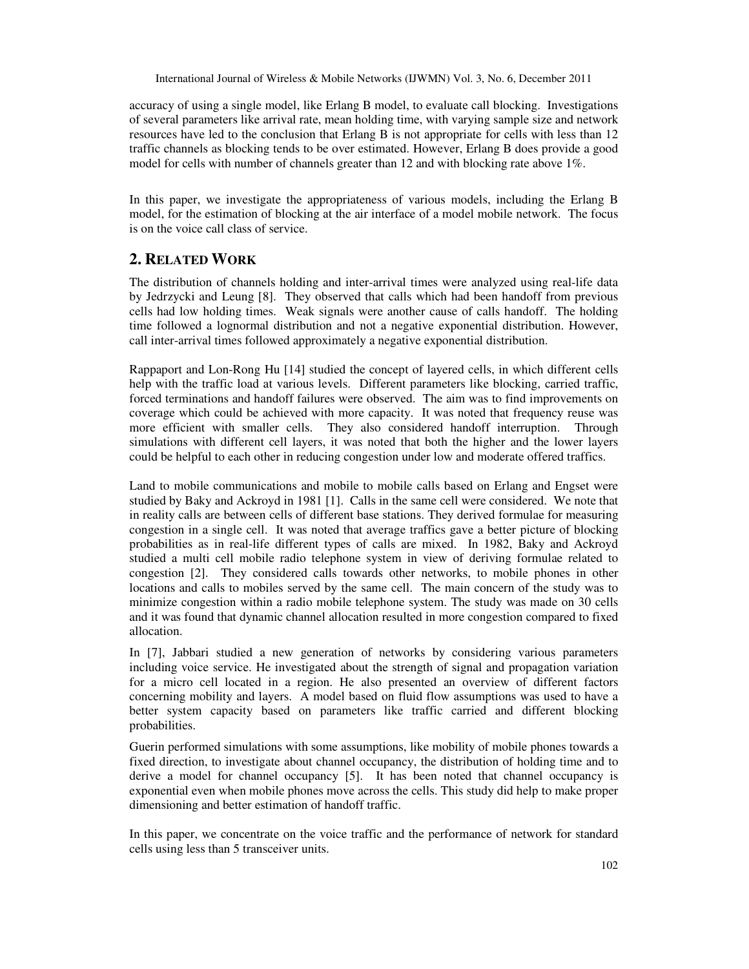accuracy of using a single model, like Erlang B model, to evaluate call blocking. Investigations of several parameters like arrival rate, mean holding time, with varying sample size and network resources have led to the conclusion that Erlang B is not appropriate for cells with less than 12 traffic channels as blocking tends to be over estimated. However, Erlang B does provide a good model for cells with number of channels greater than  $12$  and with blocking rate above  $1\%$ .

In this paper, we investigate the appropriateness of various models, including the Erlang B model, for the estimation of blocking at the air interface of a model mobile network. The focus is on the voice call class of service.

# **2. RELATED WORK**

The distribution of channels holding and inter-arrival times were analyzed using real-life data by Jedrzycki and Leung [8]. They observed that calls which had been handoff from previous cells had low holding times. Weak signals were another cause of calls handoff. The holding time followed a lognormal distribution and not a negative exponential distribution. However, call inter-arrival times followed approximately a negative exponential distribution.

Rappaport and Lon-Rong Hu [14] studied the concept of layered cells, in which different cells help with the traffic load at various levels. Different parameters like blocking, carried traffic, forced terminations and handoff failures were observed. The aim was to find improvements on coverage which could be achieved with more capacity. It was noted that frequency reuse was more efficient with smaller cells. They also considered handoff interruption. Through simulations with different cell layers, it was noted that both the higher and the lower layers could be helpful to each other in reducing congestion under low and moderate offered traffics.

Land to mobile communications and mobile to mobile calls based on Erlang and Engset were studied by Baky and Ackroyd in 1981 [1]. Calls in the same cell were considered. We note that in reality calls are between cells of different base stations. They derived formulae for measuring congestion in a single cell. It was noted that average traffics gave a better picture of blocking probabilities as in real-life different types of calls are mixed. In 1982, Baky and Ackroyd studied a multi cell mobile radio telephone system in view of deriving formulae related to congestion [2]. They considered calls towards other networks, to mobile phones in other locations and calls to mobiles served by the same cell. The main concern of the study was to minimize congestion within a radio mobile telephone system. The study was made on 30 cells and it was found that dynamic channel allocation resulted in more congestion compared to fixed allocation.

In [7], Jabbari studied a new generation of networks by considering various parameters including voice service. He investigated about the strength of signal and propagation variation for a micro cell located in a region. He also presented an overview of different factors concerning mobility and layers. A model based on fluid flow assumptions was used to have a better system capacity based on parameters like traffic carried and different blocking probabilities.

Guerin performed simulations with some assumptions, like mobility of mobile phones towards a fixed direction, to investigate about channel occupancy, the distribution of holding time and to derive a model for channel occupancy [5]. It has been noted that channel occupancy is exponential even when mobile phones move across the cells. This study did help to make proper dimensioning and better estimation of handoff traffic.

In this paper, we concentrate on the voice traffic and the performance of network for standard cells using less than 5 transceiver units.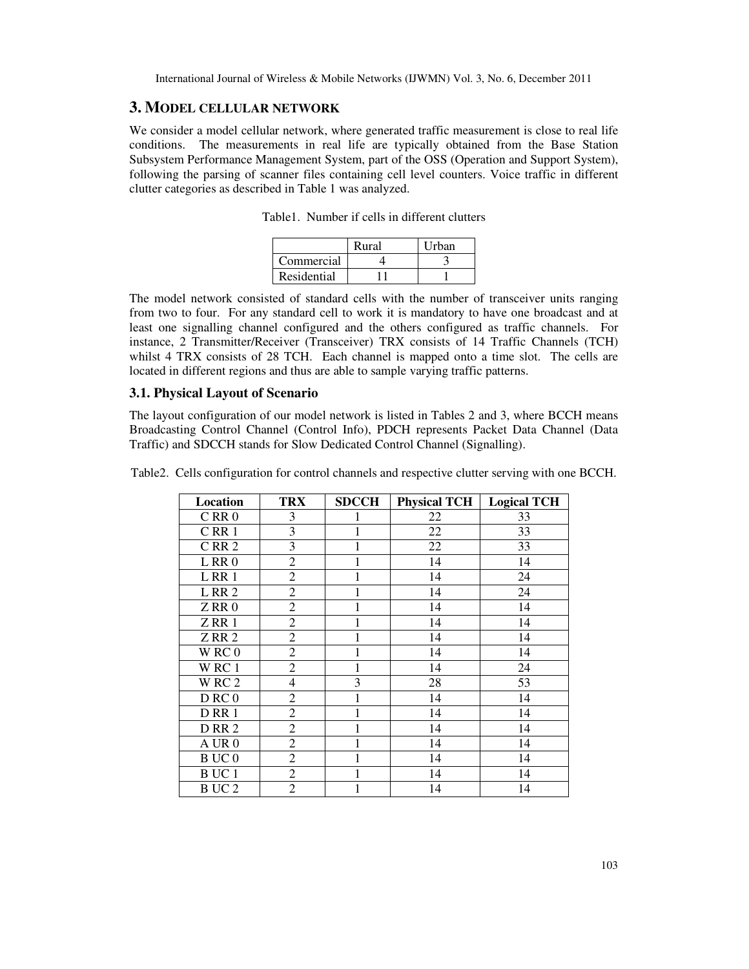## **3. MODEL CELLULAR NETWORK**

We consider a model cellular network, where generated traffic measurement is close to real life conditions. The measurements in real life are typically obtained from the Base Station Subsystem Performance Management System, part of the OSS (Operation and Support System), following the parsing of scanner files containing cell level counters. Voice traffic in different clutter categories as described in Table 1 was analyzed.

|             | Rural | Urban |
|-------------|-------|-------|
| Commercial  |       |       |
| Residential |       |       |

Table1. Number if cells in different clutters

The model network consisted of standard cells with the number of transceiver units ranging from two to four. For any standard cell to work it is mandatory to have one broadcast and at least one signalling channel configured and the others configured as traffic channels. For instance, 2 Transmitter/Receiver (Transceiver) TRX consists of 14 Traffic Channels (TCH) whilst 4 TRX consists of 28 TCH. Each channel is mapped onto a time slot. The cells are located in different regions and thus are able to sample varying traffic patterns.

#### **3.1. Physical Layout of Scenario**

The layout configuration of our model network is listed in Tables 2 and 3, where BCCH means Broadcasting Control Channel (Control Info), PDCH represents Packet Data Channel (Data Traffic) and SDCCH stands for Slow Dedicated Control Channel (Signalling).

Table2. Cells configuration for control channels and respective clutter serving with one BCCH.

| Location         | <b>TRX</b>     | <b>SDCCH</b> | <b>Physical TCH</b> | <b>Logical TCH</b> |
|------------------|----------------|--------------|---------------------|--------------------|
| $C$ RR $0$       | 3              | 1            | 22                  | 33                 |
| CRR1             | 3              | $\mathbf{1}$ | 22                  | 33                 |
| CRR <sub>2</sub> | 3              |              | 22                  | 33                 |
| LRR0             | $\overline{c}$ |              | 14                  | 14                 |
| LRR1             | $\overline{c}$ | 1            | 14                  | 24                 |
| LRR <sub>2</sub> | $\overline{c}$ |              | 14                  | 24                 |
| ZRR0             | $\overline{c}$ |              | 14                  | 14                 |
| ZRR1             | $\overline{2}$ |              | 14                  | 14                 |
| ZRR2             | $\overline{c}$ | 1            | 14                  | 14                 |
| WRC0             | $\overline{c}$ |              | 14                  | 14                 |
| WRC1             | $\overline{c}$ | $\mathbf{1}$ | 14                  | 24                 |
| WRC <sub>2</sub> | $\overline{4}$ | 3            | 28                  | 53                 |
| D RC0            | $\overline{c}$ |              | 14                  | 14                 |
| DRR1             | $\overline{c}$ | 1            | 14                  | 14                 |
| <b>D</b> RR 2    | $\overline{2}$ | 1            | 14                  | 14                 |
| A UR 0           | $\overline{2}$ | 1            | 14                  | 14                 |
| <b>BUC0</b>      | $\overline{c}$ |              | 14                  | 14                 |
| B UC 1           | $\overline{c}$ |              | 14                  | 14                 |
| BUC <sub>2</sub> | $\overline{c}$ |              | 14                  | 14                 |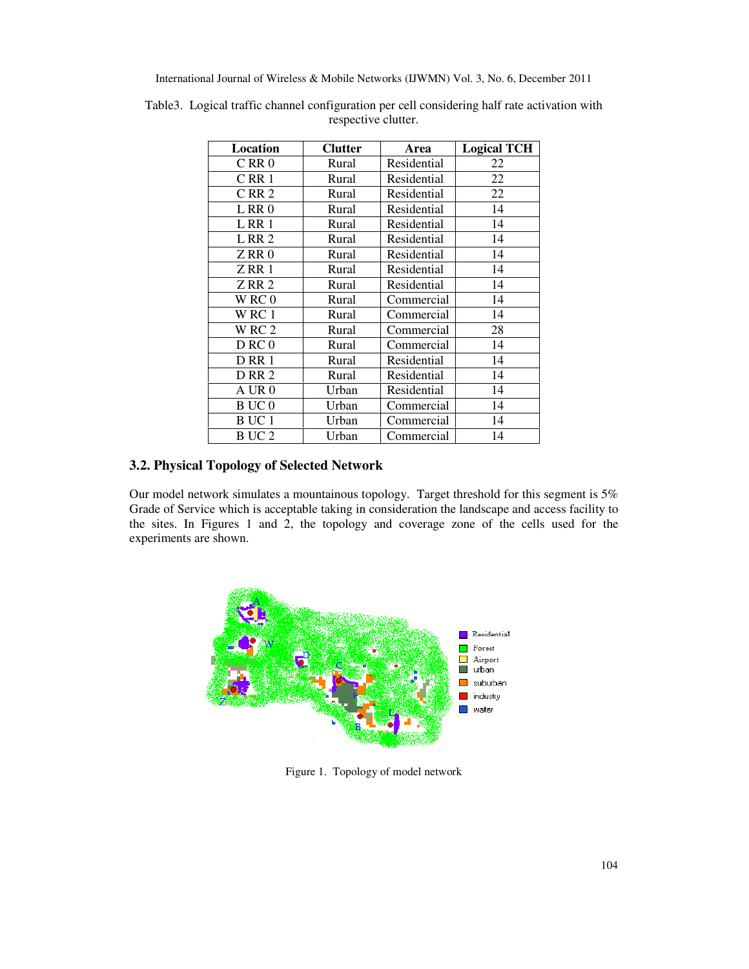| Location          | <b>Clutter</b> | Area        | <b>Logical TCH</b> |
|-------------------|----------------|-------------|--------------------|
| CRR <sub>0</sub>  | Rural          | Residential | 22                 |
| CRR1              | Rural          | Residential | 22                 |
| CRR <sub>2</sub>  | Rural          | Residential | 22                 |
| LRR0              | Rural          | Residential | 14                 |
| LRR1              | Rural          | Residential | 14                 |
| L RR 2            | Rural          | Residential | 14                 |
| ZRR0              | Rural          | Residential | 14                 |
| ZRR1              | Rural          | Residential | 14                 |
| ZRR2              | Rural          | Residential | 14                 |
| WRC0              | Rural          | Commercial  | 14                 |
| WRC 1             | Rural          | Commercial  | 14                 |
| WRC <sub>2</sub>  | Rural          | Commercial  | 28                 |
| D RC0             | Rural          | Commercial  | 14                 |
| <b>D</b> RR 1     | Rural          | Residential | 14                 |
| <b>D RR 2</b>     | Rural          | Residential | 14                 |
| $A$ UR $0$        | Urban          | Residential | 14                 |
| B UC 0            | Urban          | Commercial  | 14                 |
| B UC 1            | Urban          | Commercial  | 14                 |
| B UC <sub>2</sub> | Urban          | Commercial  | 14                 |

Table3. Logical traffic channel configuration per cell considering half rate activation with respective clutter.

## **3.2. Physical Topology of Selected Network**

Our model network simulates a mountainous topology. Target threshold for this segment is 5% Grade of Service which is acceptable taking in consideration the landscape and access facility to the sites. In Figures 1 and 2, the topology and coverage zone of the cells used for the experiments are shown.



Figure 1. Topology of model network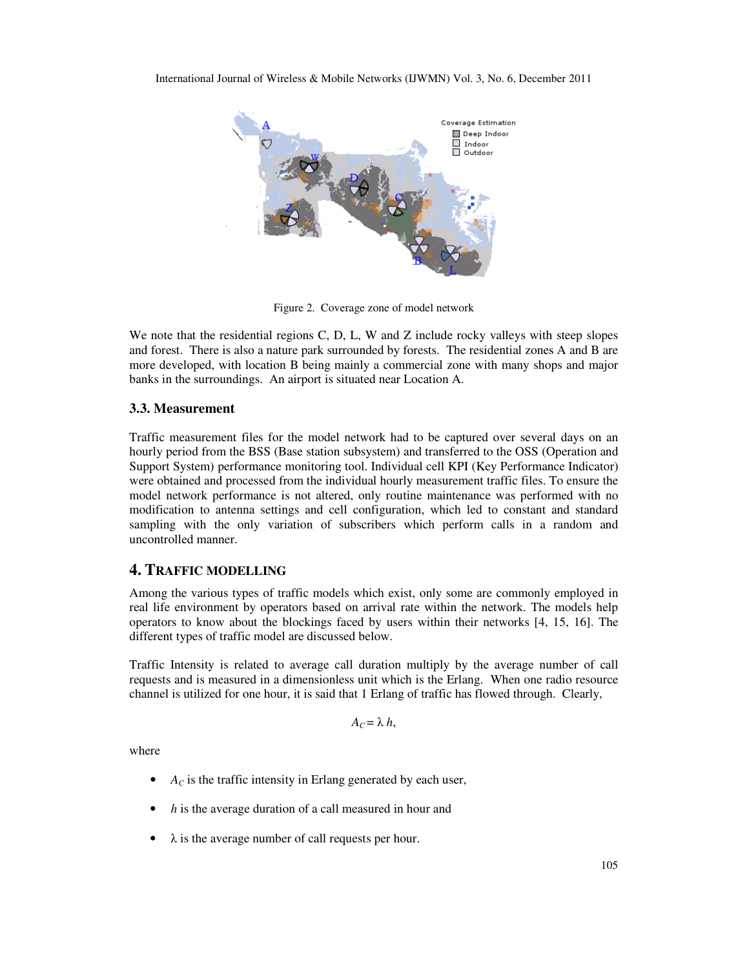

Figure 2. Coverage zone of model network

We note that the residential regions C, D, L, W and Z include rocky valleys with steep slopes and forest. There is also a nature park surrounded by forests. The residential zones A and B are more developed, with location B being mainly a commercial zone with many shops and major banks in the surroundings. An airport is situated near Location A.

#### **3.3. Measurement**

Traffic measurement files for the model network had to be captured over several days on an hourly period from the BSS (Base station subsystem) and transferred to the OSS (Operation and Support System) performance monitoring tool. Individual cell KPI (Key Performance Indicator) were obtained and processed from the individual hourly measurement traffic files. To ensure the model network performance is not altered, only routine maintenance was performed with no modification to antenna settings and cell configuration, which led to constant and standard sampling with the only variation of subscribers which perform calls in a random and uncontrolled manner.

## **4. TRAFFIC MODELLING**

Among the various types of traffic models which exist, only some are commonly employed in real life environment by operators based on arrival rate within the network. The models help operators to know about the blockings faced by users within their networks [4, 15, 16]. The different types of traffic model are discussed below.

Traffic Intensity is related to average call duration multiply by the average number of call requests and is measured in a dimensionless unit which is the Erlang. When one radio resource channel is utilized for one hour, it is said that 1 Erlang of traffic has flowed through. Clearly,

$$
A_C = \lambda h,
$$

where

- $A_C$  is the traffic intensity in Erlang generated by each user,
- *h* is the average duration of a call measured in hour and
- $\bullet$   $\lambda$  is the average number of call requests per hour.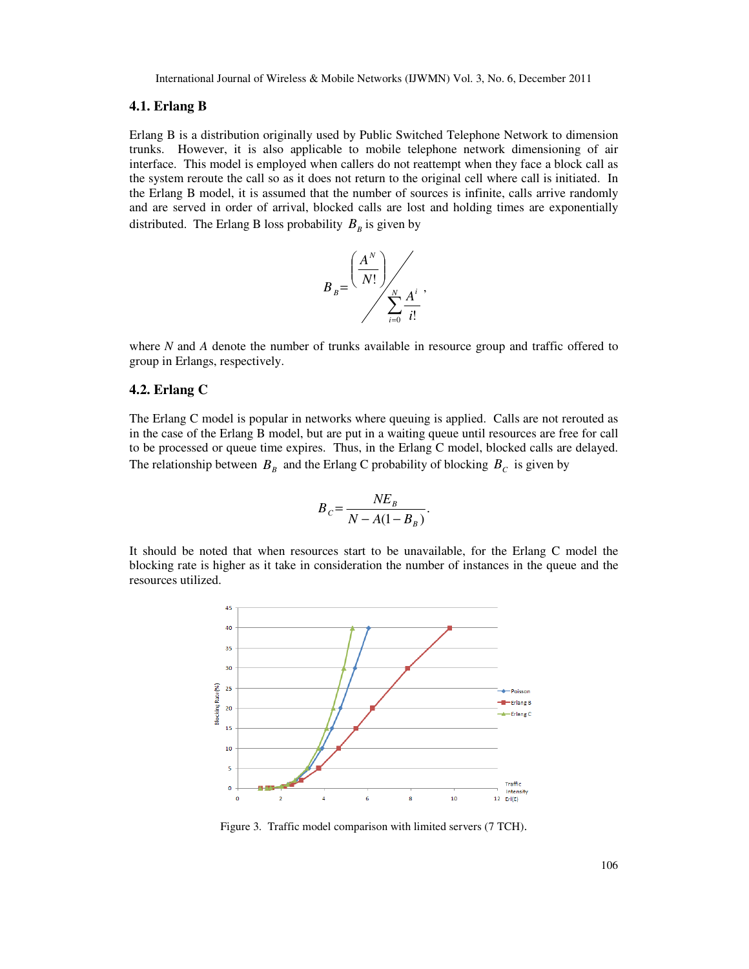#### **4.1. Erlang B**

Erlang B is a distribution originally used by Public Switched Telephone Network to dimension trunks. However, it is also applicable to mobile telephone network dimensioning of air interface. This model is employed when callers do not reattempt when they face a block call as the system reroute the call so as it does not return to the original cell where call is initiated. In the Erlang B model, it is assumed that the number of sources is infinite, calls arrive randomly and are served in order of arrival, blocked calls are lost and holding times are exponentially distributed. The Erlang B loss probability  $B_B$  is given by



where *N* and *A* denote the number of trunks available in resource group and traffic offered to group in Erlangs, respectively.

#### **4.2. Erlang C**

The Erlang C model is popular in networks where queuing is applied. Calls are not rerouted as in the case of the Erlang B model, but are put in a waiting queue until resources are free for call to be processed or queue time expires. Thus, in the Erlang C model, blocked calls are delayed. The relationship between  $B_B$  and the Erlang C probability of blocking  $B_C$  is given by

$$
B_C = \frac{NE_B}{N - A(1 - B_B)}.
$$

It should be noted that when resources start to be unavailable, for the Erlang C model the blocking rate is higher as it take in consideration the number of instances in the queue and the resources utilized.



Figure 3. Traffic model comparison with limited servers (7 TCH).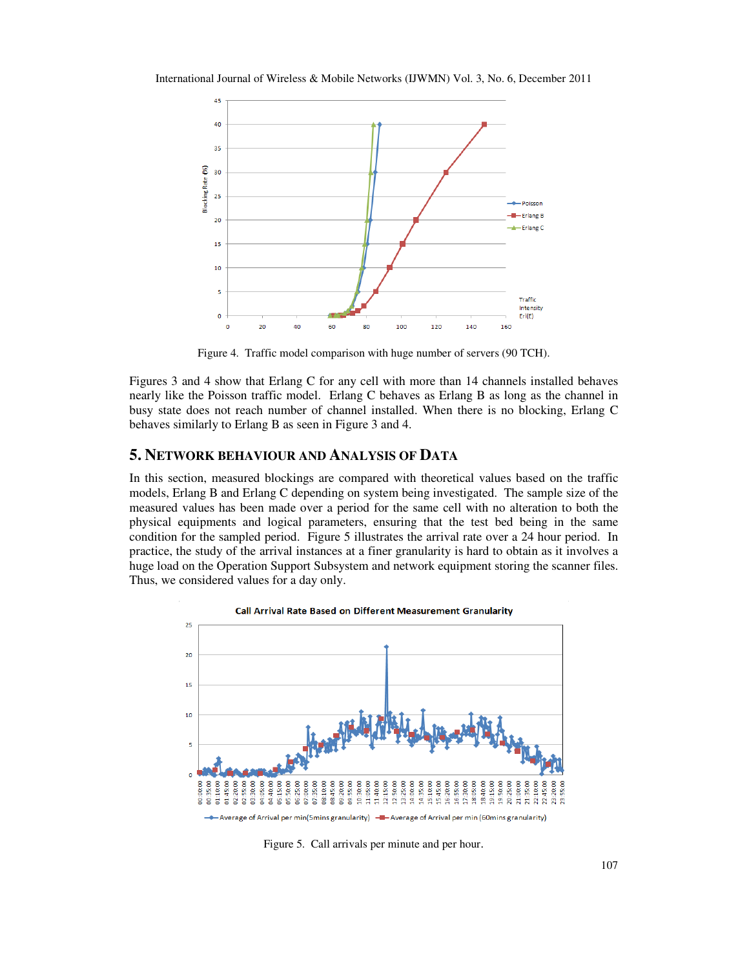International Journal of Wireless & Mobile Networks (IJWMN) Vol. 3, No. 6, December 2011



Figure 4. Traffic model comparison with huge number of servers (90 TCH).

Figures 3 and 4 show that Erlang C for any cell with more than 14 channels installed behaves nearly like the Poisson traffic model. Erlang C behaves as Erlang B as long as the channel in busy state does not reach number of channel installed. When there is no blocking, Erlang C behaves similarly to Erlang B as seen in Figure 3 and 4.

## **5. NETWORK BEHAVIOUR AND ANALYSIS OF DATA**

In this section, measured blockings are compared with theoretical values based on the traffic models, Erlang B and Erlang C depending on system being investigated. The sample size of the measured values has been made over a period for the same cell with no alteration to both the physical equipments and logical parameters, ensuring that the test bed being in the same condition for the sampled period. Figure 5 illustrates the arrival rate over a 24 hour period. In practice, the study of the arrival instances at a finer granularity is hard to obtain as it involves a huge load on the Operation Support Subsystem and network equipment storing the scanner files. Thus, we considered values for a day only.



Figure 5. Call arrivals per minute and per hour.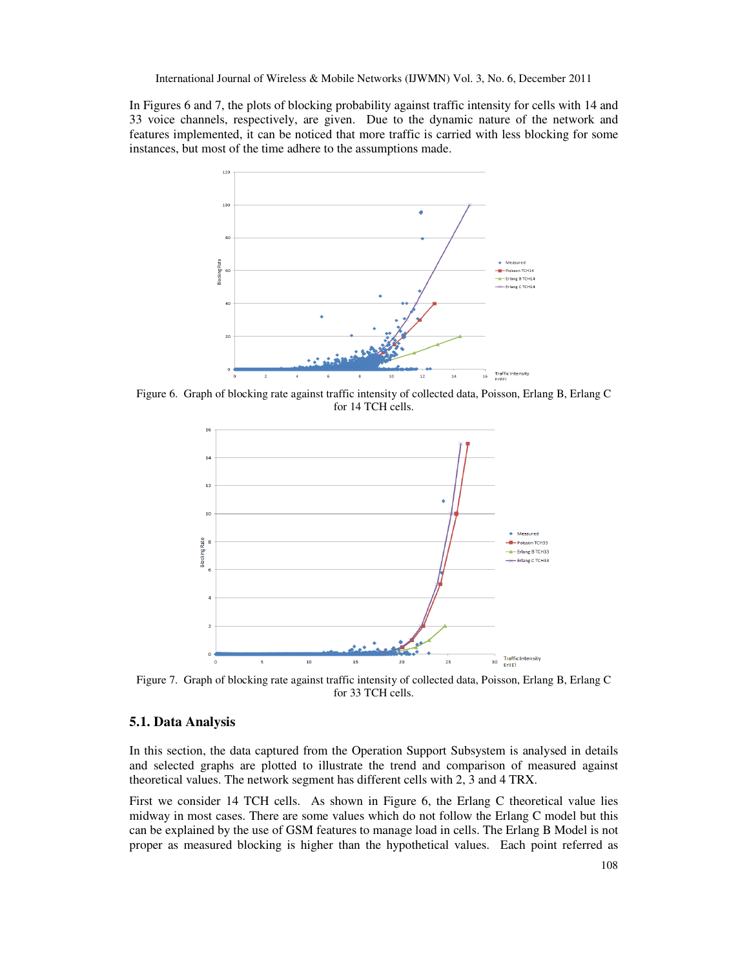In Figures 6 and 7, the plots of blocking probability against traffic intensity for cells with 14 and 33 voice channels, respectively, are given. Due to the dynamic nature of the network and features implemented, it can be noticed that more traffic is carried with less blocking for some instances, but most of the time adhere to the assumptions made.



Figure 6. Graph of blocking rate against traffic intensity of collected data, Poisson, Erlang B, Erlang C for 14 TCH cells.



Figure 7. Graph of blocking rate against traffic intensity of collected data, Poisson, Erlang B, Erlang C for 33 TCH cells.

#### **5.1. Data Analysis**

In this section, the data captured from the Operation Support Subsystem is analysed in details and selected graphs are plotted to illustrate the trend and comparison of measured against theoretical values. The network segment has different cells with 2, 3 and 4 TRX.

First we consider 14 TCH cells. As shown in Figure 6, the Erlang C theoretical value lies midway in most cases. There are some values which do not follow the Erlang C model but this can be explained by the use of GSM features to manage load in cells. The Erlang B Model is not proper as measured blocking is higher than the hypothetical values. Each point referred as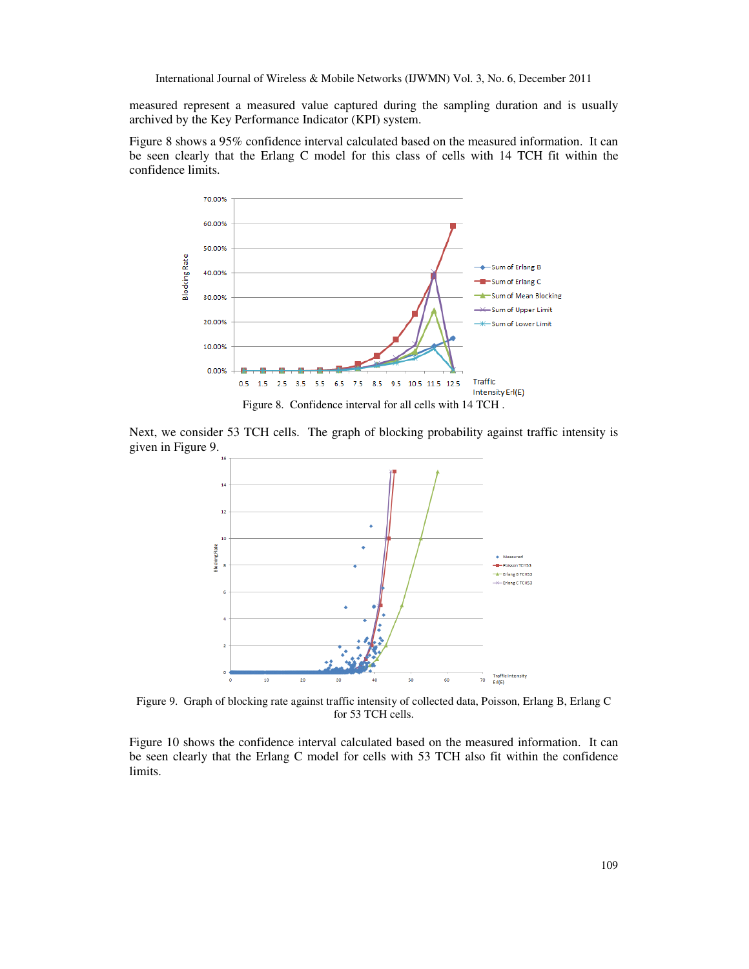measured represent a measured value captured during the sampling duration and is usually archived by the Key Performance Indicator (KPI) system.

Figure 8 shows a 95% confidence interval calculated based on the measured information. It can be seen clearly that the Erlang C model for this class of cells with 14 TCH fit within the confidence limits.



Next, we consider 53 TCH cells. The graph of blocking probability against traffic intensity is given in Figure 9.



Figure 9. Graph of blocking rate against traffic intensity of collected data, Poisson, Erlang B, Erlang C for 53 TCH cells.

Figure 10 shows the confidence interval calculated based on the measured information. It can be seen clearly that the Erlang C model for cells with 53 TCH also fit within the confidence limits.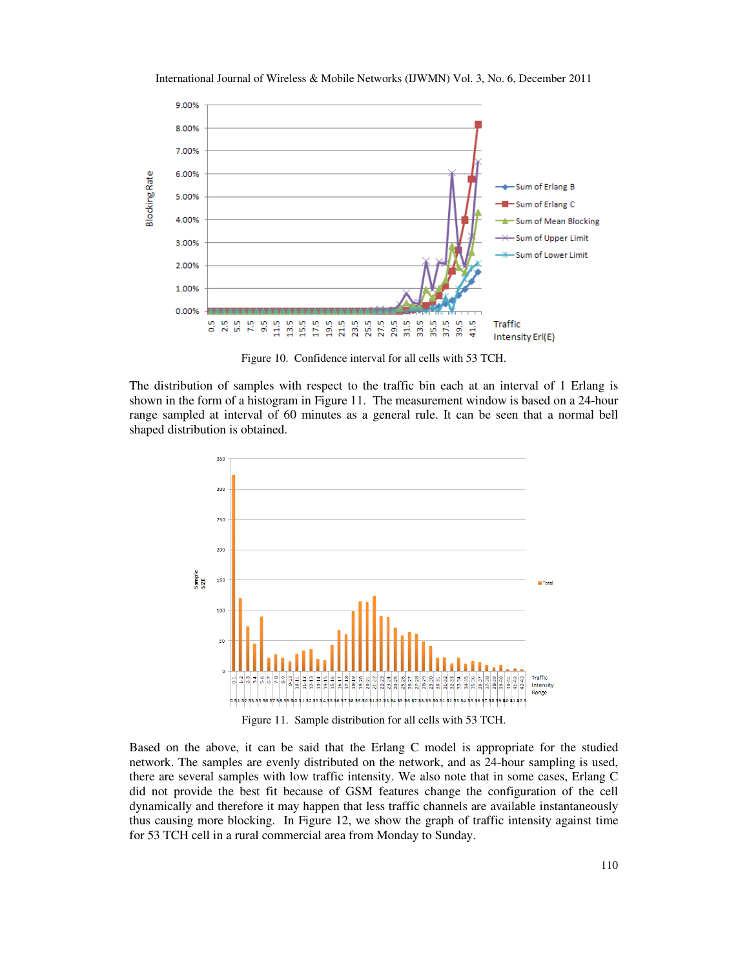

International Journal of Wireless & Mobile Networks (IJWMN) Vol. 3, No. 6, December 2011

Figure 10. Confidence interval for all cells with 53 TCH.

The distribution of samples with respect to the traffic bin each at an interval of 1 Erlang is shown in the form of a histogram in Figure 11. The measurement window is based on a 24-hour range sampled at interval of 60 minutes as a general rule. It can be seen that a normal bell shaped distribution is obtained.



Figure 11. Sample distribution for all cells with 53 TCH.

Based on the above, it can be said that the Erlang C model is appropriate for the studied network. The samples are evenly distributed on the network, and as 24-hour sampling is used, there are several samples with low traffic intensity. We also note that in some cases, Erlang C did not provide the best fit because of GSM features change the configuration of the cell dynamically and therefore it may happen that less traffic channels are available instantaneously thus causing more blocking. In Figure 12, we show the graph of traffic intensity against time for 53 TCH cell in a rural commercial area from Monday to Sunday.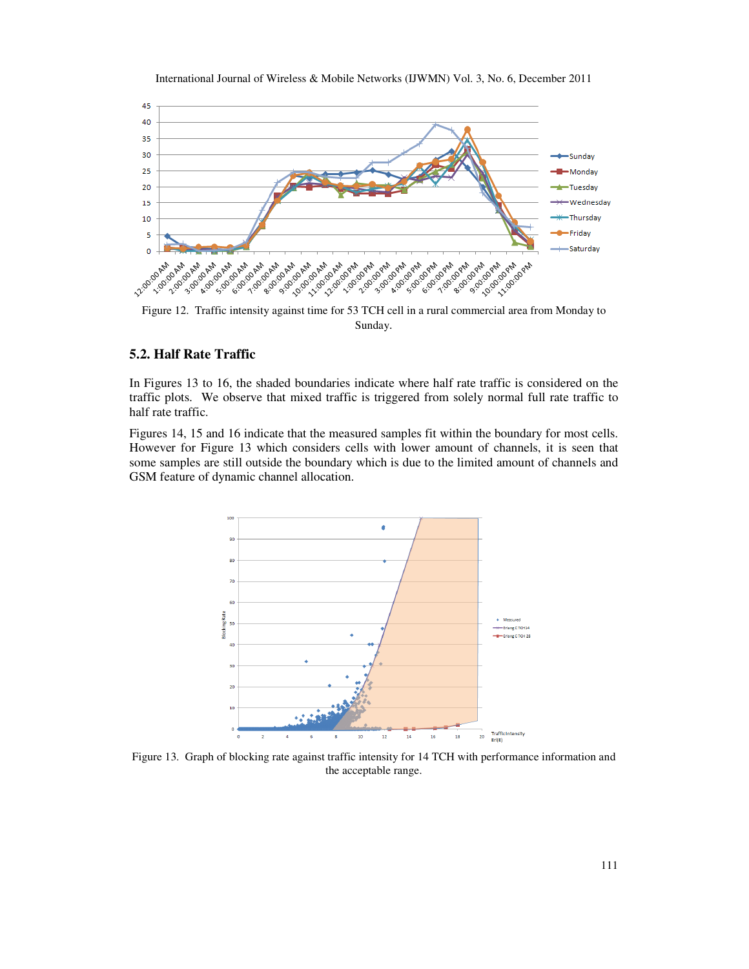



Figure 12. Traffic intensity against time for 53 TCH cell in a rural commercial area from Monday to Sunday.

# **5.2. Half Rate Traffic**

In Figures 13 to 16, the shaded boundaries indicate where half rate traffic is considered on the traffic plots. We observe that mixed traffic is triggered from solely normal full rate traffic to half rate traffic.

Figures 14, 15 and 16 indicate that the measured samples fit within the boundary for most cells. However for Figure 13 which considers cells with lower amount of channels, it is seen that some samples are still outside the boundary which is due to the limited amount of channels and GSM feature of dynamic channel allocation.



Figure 13. Graph of blocking rate against traffic intensity for 14 TCH with performance information and the acceptable range.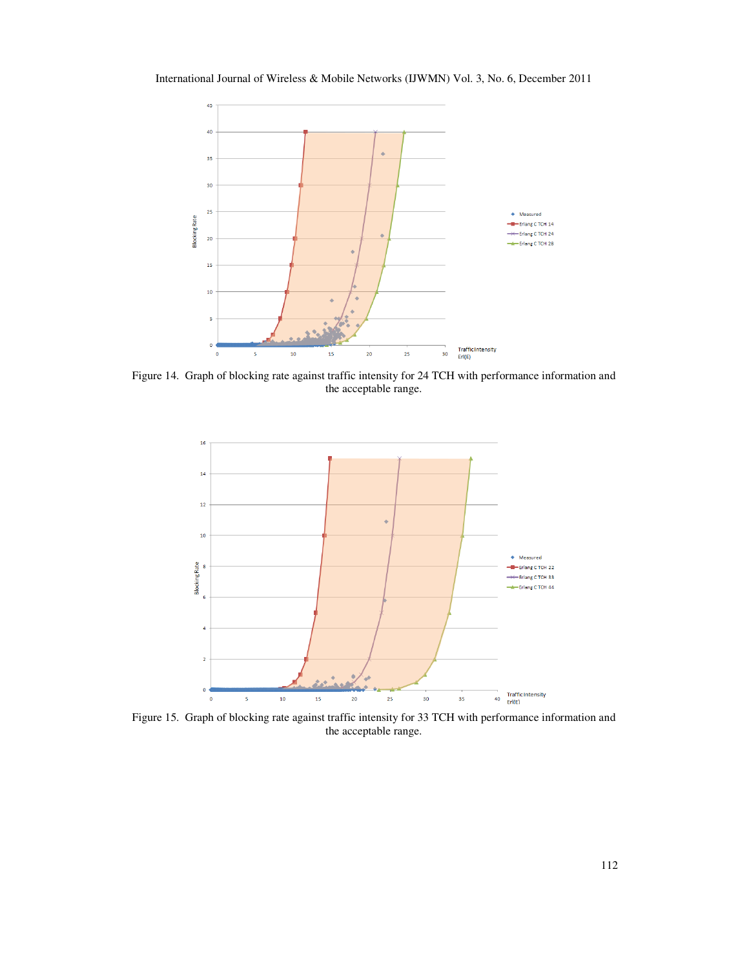International Journal of Wireless & Mobile Networks (IJWMN) Vol. 3, No. 6, December 2011



Figure 14. Graph of blocking rate against traffic intensity for 24 TCH with performance information and the acceptable range.



Figure 15. Graph of blocking rate against traffic intensity for 33 TCH with performance information and the acceptable range.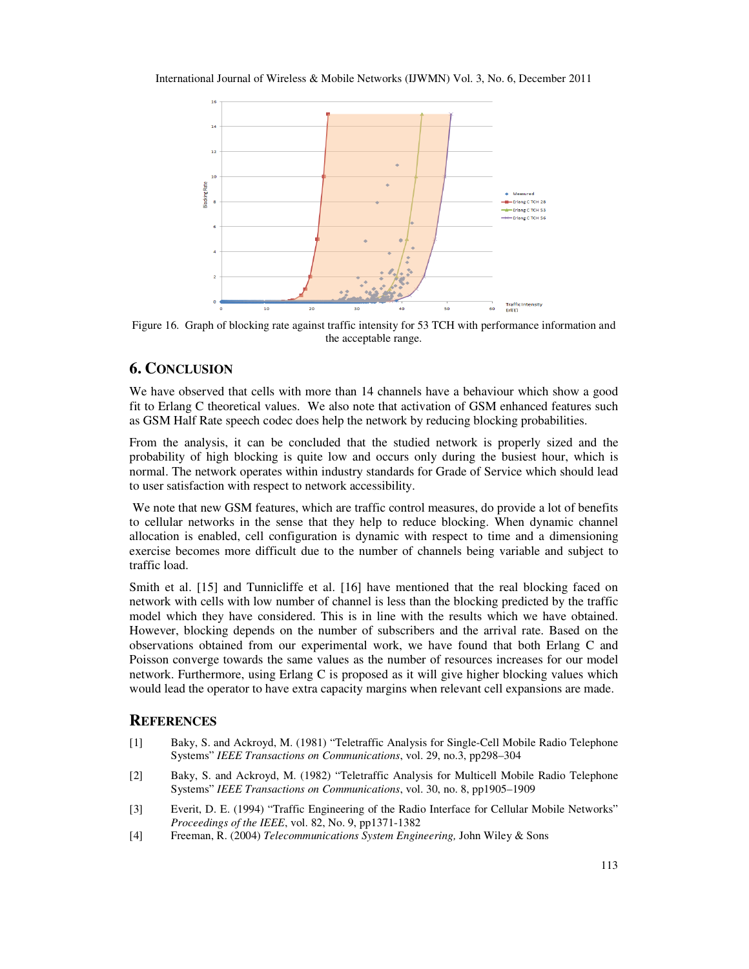

Figure 16. Graph of blocking rate against traffic intensity for 53 TCH with performance information and the acceptable range.

# **6. CONCLUSION**

We have observed that cells with more than 14 channels have a behaviour which show a good fit to Erlang C theoretical values. We also note that activation of GSM enhanced features such as GSM Half Rate speech codec does help the network by reducing blocking probabilities.

From the analysis, it can be concluded that the studied network is properly sized and the probability of high blocking is quite low and occurs only during the busiest hour, which is normal. The network operates within industry standards for Grade of Service which should lead to user satisfaction with respect to network accessibility.

 We note that new GSM features, which are traffic control measures, do provide a lot of benefits to cellular networks in the sense that they help to reduce blocking. When dynamic channel allocation is enabled, cell configuration is dynamic with respect to time and a dimensioning exercise becomes more difficult due to the number of channels being variable and subject to traffic load.

Smith et al. [15] and Tunnicliffe et al. [16] have mentioned that the real blocking faced on network with cells with low number of channel is less than the blocking predicted by the traffic model which they have considered. This is in line with the results which we have obtained. However, blocking depends on the number of subscribers and the arrival rate. Based on the observations obtained from our experimental work, we have found that both Erlang C and Poisson converge towards the same values as the number of resources increases for our model network. Furthermore, using Erlang C is proposed as it will give higher blocking values which would lead the operator to have extra capacity margins when relevant cell expansions are made.

## **REFERENCES**

- [1] Baky, S. and Ackroyd, M. (1981) "Teletraffic Analysis for Single-Cell Mobile Radio Telephone Systems" *IEEE Transactions on Communications*, vol. 29, no.3, pp298–304
- [2] Baky, S. and Ackroyd, M. (1982) "Teletraffic Analysis for Multicell Mobile Radio Telephone Systems" *IEEE Transactions on Communications*, vol. 30, no. 8, pp1905–1909
- [3] Everit, D. E. (1994) "Traffic Engineering of the Radio Interface for Cellular Mobile Networks" *Proceedings of the IEEE*, vol. 82, No. 9, pp1371-1382
- [4] Freeman, R. (2004) *Telecommunications System Engineering,* John Wiley & Sons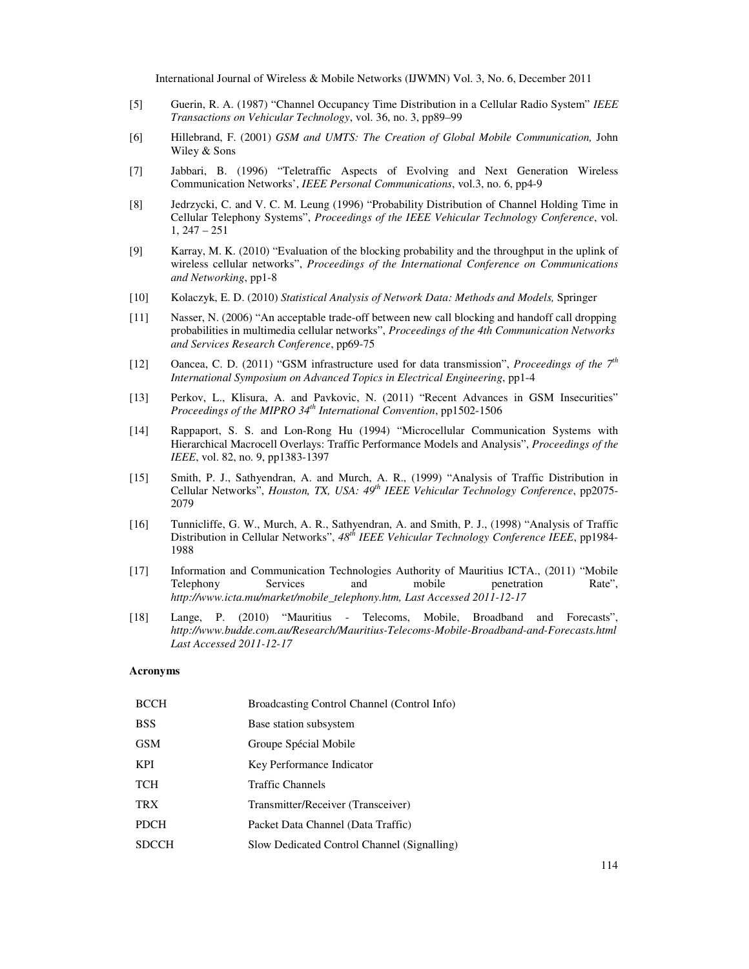- [5] Guerin, R. A. (1987) "Channel Occupancy Time Distribution in a Cellular Radio System" *IEEE Transactions on Vehicular Technology*, vol. 36, no. 3, pp89–99
- [6] Hillebrand, F. (2001) *GSM and UMTS: The Creation of Global Mobile Communication,* John Wiley & Sons
- [7] Jabbari, B. (1996) "Teletraffic Aspects of Evolving and Next Generation Wireless Communication Networks', *IEEE Personal Communications*, vol.3, no. 6, pp4-9
- [8] Jedrzycki, C. and V. C. M. Leung (1996) "Probability Distribution of Channel Holding Time in Cellular Telephony Systems", *Proceedings of the IEEE Vehicular Technology Conference*, vol. 1, 247 – 251
- [9] Karray, M. K. (2010) "Evaluation of the blocking probability and the throughput in the uplink of wireless cellular networks", *Proceedings of the International Conference on Communications and Networking*, pp1-8
- [10] Kolaczyk, E. D. (2010) *Statistical Analysis of Network Data: Methods and Models,* Springer
- [11] Nasser, N. (2006) "An acceptable trade-off between new call blocking and handoff call dropping probabilities in multimedia cellular networks", *Proceedings of the 4th Communication Networks and Services Research Conference*, pp69-75
- [12] Oancea, C. D. (2011) "GSM infrastructure used for data transmission", *Proceedings of the 7th International Symposium on Advanced Topics in Electrical Engineering*, pp1-4
- [13] Perkov, L., Klisura, A. and Pavkovic, N. (2011) "Recent Advances in GSM Insecurities" *Proceedings of the MIPRO 34th International Convention*, pp1502-1506
- [14] Rappaport, S. S. and Lon-Rong Hu (1994) "Microcellular Communication Systems with Hierarchical Macrocell Overlays: Traffic Performance Models and Analysis", *Proceedings of the IEEE*, vol. 82, no. 9, pp1383-1397
- [15] Smith, P. J., Sathyendran, A. and Murch, A. R., (1999) "Analysis of Traffic Distribution in Cellular Networks", *Houston, TX, USA: 49th IEEE Vehicular Technology Conference*, pp2075- 2079
- [16] Tunnicliffe, G. W., Murch, A. R., Sathyendran, A. and Smith, P. J., (1998) "Analysis of Traffic Distribution in Cellular Networks", *48th IEEE Vehicular Technology Conference IEEE*, pp1984- 1988
- [17] Information and Communication Technologies Authority of Mauritius ICTA., (2011) "Mobile Telephony Services and mobile penetration Rate", *http://www.icta.mu/market/mobile\_telephony.htm, Last Accessed 2011-12-17*
- [18] Lange, P. (2010) "Mauritius Telecoms, Mobile, Broadband and Forecasts", *http://www.budde.com.au/Research/Mauritius-Telecoms-Mobile-Broadband-and-Forecasts.html Last Accessed 2011-12-17*

#### **Acronyms**

| <b>BCCH</b>  | Broadcasting Control Channel (Control Info) |
|--------------|---------------------------------------------|
| <b>BSS</b>   | Base station subsystem                      |
| <b>GSM</b>   | Groupe Spécial Mobile                       |
| <b>KPI</b>   | Key Performance Indicator                   |
| <b>TCH</b>   | <b>Traffic Channels</b>                     |
| <b>TRX</b>   | Transmitter/Receiver (Transceiver)          |
| <b>PDCH</b>  | Packet Data Channel (Data Traffic)          |
| <b>SDCCH</b> | Slow Dedicated Control Channel (Signalling) |